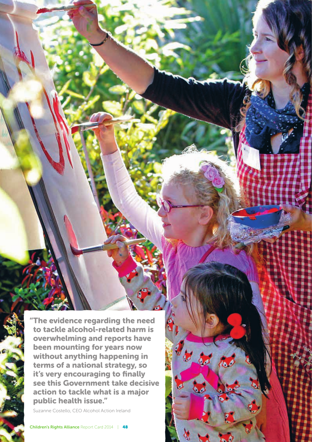"The evidence regarding the need to tackle alcohol-related harm is overwhelming and reports have been mounting for years now without anything happening in terms of a national strategy, so it's very encouraging to finally see this Government take decisive action to tackle what is a major public health issue."

Ħ

Suzanne Costello, CEO Alcohol Action Ireland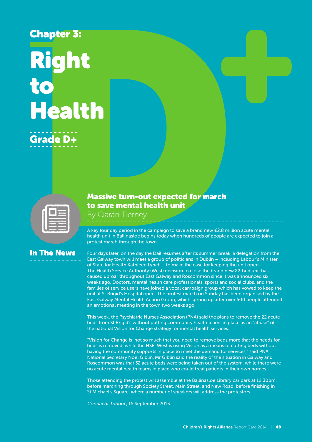# Chapter 3: Right to Health Grade D+

| -<br>-- |  |
|---------|--|
|         |  |
| ----    |  |

## In The News

#### Massive turn-out expected for march to save mental health unit

By Ciarán Tierney

A key four day period in the campaign to save a brand new €2.8 million acute mental health unit in Ballinasloe begins today when hundreds of people are expected to join a protest march through the town.

Four days later, on the day the Dáil resumes after its summer break, a delegation from the East Galway town will meet a group of politicians in Dublin – including Labour's Minister of State for Health Kathleen Lynch – to make the case for keeping the unit open. The Health Service Authority (West) decision to close the brand new 22-bed unit has caused uproar throughout East Galway and Roscommon since it was announced six weeks ago. Doctors, mental health care professionals, sports and social clubs, and the families of service users have joined a vocal campaign group which has vowed to keep the unit at St Brigid's Hospital open. The protest march on Sunday has been organised by the East Galway Mental Health Action Group, which sprung up after over 500 people attended an emotional meeting in the town two weeks ago.

This week, the Psychiatric Nurses Association (PNA) said the plans to remove the 22 acute beds from St Brigid's without putting community health teams in place as an "abuse" of the national Vision for Change strategy for mental health services.

"Vision for Change is not so much that you need to remove beds more that the needs for beds is removed, while the HSE West is using Vision as a means of cutting beds without having the community supports in place to meet the demand for services," said PNA National Secretary Noel Giblin. Mr Giblin said the reality of the situation in Galway and Roscommon was that 32 acute beds were being taken out of the system, while there were no acute mental health teams in place who could treat patients in their own homes.

Those attending the protest will assemble at the Ballinasloe Library car park at 12.30pm, before marching through Society Street, Main Street, and New Road, before finishing in St Michael's Square, where a number of speakers will address the protestors.

Connacht Tribune, 15 September 2013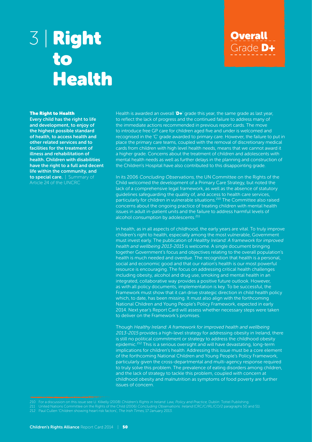# 3 | Right to Health

# **Overall** Grade D+

#### The Right to Health

Every child has the right to life and development, to enjoy of the highest possible standard of health, to access health and other related services and to facilities for the treatment of illness and rehabilitation of health. Children with disabilities have the right to a full and decent life within the community, and to special care. | Summary of

Article 24 of the UNCRC

Health is awarded an overall  $D+$ ' grade this year, the same grade as last year, to reflect the lack of progress and the continued failure to address many of the immediate actions recommended in previous report cards. The move to introduce free GP care for children aged five and under is welcomed and recognised in the 'C' grade awarded to primary care. However, the failure to put in place the primary care teams, coupled with the removal of discretionary medical cards from children with high level health needs, means that we cannot award it a higher grade. Concerns about the treatment of children and adolescents with mental health needs as well as further delays in the planning and construction of the Children's Hospital have also contributed to this disappointing grade.

In its 2006 Concluding Observations, the UN Committee on the Rights of the Child welcomed the development of a Primary Care Strategy, but noted the lack of a comprehensive legal framework, as well as the absence of statutory guidelines safeguarding the quality of, and access to health care services, particularly for children in vulnerable situations.<sup>210</sup> The Committee also raised concerns about the ongoing practice of treating children with mental health issues in adult in-patient units and the failure to address harmful levels of alcohol consumption by adolescents.211

In health, as in all aspects of childhood, the early years are vital. To truly improve children's right to health, especially among the most vulnerable, Government must invest early. The publication of Healthy Ireland: A framework for improved health and wellbeing 2013-2015 is welcome. A single document bringing together Government's focus and objectives relating to the overall population's health is much needed and overdue. The recognition that health is a personal, social and economic good and that our nation's health is our most powerful resource is encouraging. The focus on addressing critical health challenges including obesity, alcohol and drug use, smoking and mental health in an integrated, collaborative way provides a positive future outlook. However, as with all policy documents, implementation is key. To be successful, the Framework must show that it can drive strategic direction in child health policy which, to date, has been missing. It must also align with the forthcoming National Children and Young People's Policy Framework, expected in early 2014. Next year's Report Card will assess whether necessary steps were taken to deliver on the Framework's promises.

Though Healthy Ireland: A framework for improved health and wellbeing 2013-2015 provides a high-level strategy for addressing obesity in Ireland, there is still no political commitment or strategy to address the childhood obesity epidemic.<sup>212</sup> This is a serious oversight and will have devastating, long-term implications for children's health. Addressing this issue must be a core element of the forthcoming National Children and Young People's Policy Framework, particularly given the cross-departmental and multi-agency response required to truly solve this problem. The prevalence of eating disorders among children, and the lack of strategy to tackle this problem, coupled with concern at childhood obesity and malnutrition as symptoms of food poverty are further issues of concern.

<sup>211</sup> United Nations Committee on the Rights of the Child (2006) Concluding Observations: Ireland (CRC/C/IRL/CO/2 paragraphs 50 and 51).

<sup>212</sup> Paul Cullen 'Children showing heart risk factors', The Irish Times, 17 January 2013.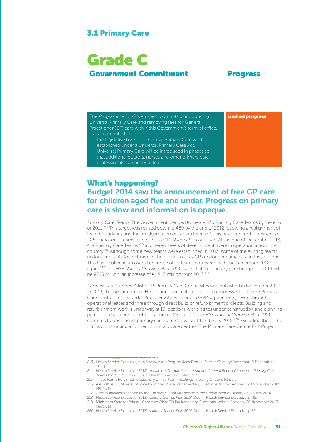#### 3.1 Primary Care

# Grade C Government Commitment Progress

The Programme for Government commits to introducing Universal Primary Care and removing fees for General Practitioner (GP) care within this Government's term of office. It also commits that: the legislative basis for Universal Primary Care will be Limited progress

established under a Universal Primary Care Act. - Universal Primary Care will be introduced in phases so that additional doctors, nurses and other primary care

professionals can be recruited.

#### What's happening? Budget 2014 saw the announcement of free GP care for children aged five and under. Progress on primary care is slow and information is opaque.

Primary Care Teams: The Government pledged to create 530 Primary Care Teams by the end of 2011.<sup>213</sup> This target was revised down to 489 by the end of 2012 following a realignment of team boundaries and the amalgamation of certain teams.<sup>214</sup> This has been further revised to 485 operational teams in the HSE's 2014 National Service Plan. At the end of December 2013, 419 Primary Care Teams, <sup>215</sup> at different levels of development, were in operation across the country.216 Although some new teams were established in 2013, some of the existing teams no longer qualify for inclusion in the overall total as GPs no longer participate in these teams. This has resulted in an overall decrease of six teams compared with the December 2012 figure.217 The HSE National Service Plan 2014 states that the primary care budget for 2014 will be €725 million, an increase of €231.3 million from 2013.218

Primary Care Centres: A list of 35 Primary Care Centre sites was published in November 2012. In 2013, the Department of Health announced its intention to progress 29 of the 35 Primary Care Centre sites: 19 under Public Private Partnership (PPP) agreements, seven through operational leases and three through direct build or refurbishment projects. Building and refurbishment work is underway at 15 locations with six sites under construction and planning permission has been sought for a further 22 sites.219 The HSE National Service Plan 2014 commits to opening 21 primary care centres over 2014 and early 2015.<sup>220</sup> Excluding these, the HSE is constructing a further 12 primary care centres. The Primary Care Centre PPP Project

<sup>213</sup> Health Service Executive, http://www.hse.ie/eng/services/Find\_a\_Service/Primary/ [accessed 19 December 2012].

<sup>214</sup> Health Service Executive (2012) Update on Comptroller and Auditor General Report Chapter on Primary Care Teams for PCA Meeting, Dublin: Health Service Executive, p. 7.

<sup>215</sup> These teams hold multi-disciplinary clinical team meetings involving GPs and HSE staff.

<sup>216</sup> Alex White TD, Minister of State for Primary Care, Parliamentary Questions: Written Answers, 20 November 2013 [49717/13].

<sup>217</sup> Communication received by the Children's Right Alliance from the Department of Health, 27 January 2014.

<sup>218</sup> Health Service Executive (2013) National Service Plan 2014, Dublin: Health Service Executive, p. 35.

<sup>219</sup> Minister of State for Primary Care Alex White TD Parliamentary Questions, Written Answers, 20 November 2013 [49717/13]

<sup>220</sup> Health Service Executive (2013) National Service Plan 2014, Dublin: Health Service Executive, p.35.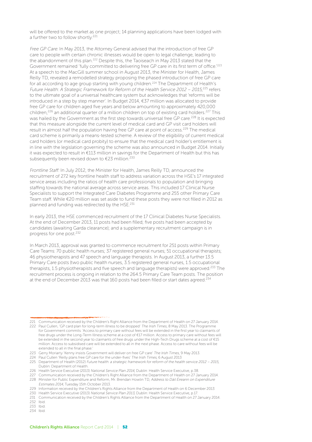will be offered to the market as one project; 14 planning applications have been lodged with a further two to follow shortly.221

Free GP Care: In May 2013, the Attorney General advised that the introduction of free GP care to people with certain chronic illnesses would be open to legal challenge, leading to the abandonment of this plan.222 Despite this, the Taoiseach in May 2013 stated that the Government remained 'fully committed to delivering free GP care in its first term of office.'223 At a speech to the MacGill summer school in August 2013, the Minister for Health, James Reilly TD, revealed a remodelled strategy proposing the phased introduction of free GP care for all according to age group starting with young children.<sup>224</sup> The Department of Health's Future Health: A Strategic Framework for Reform of the Health Service 2012 – 2015,<sup>225</sup> refers to the ultimate goal of a universal healthcare system but acknowledges that 'reforms will be introduced in a step by step manner'. In Budget 2014, €37 million was allocated to provide free GP care for children aged five years and below amounting to approximately 420,000 children,<sup>226</sup> an additional quarter of a million children on top of existing card holders.<sup>227</sup> This was hailed by the Government as the first step towards universal free GP care.<sup>228</sup> It is expected that this measure alongside the current level of medical card and GP visit card holders will result in almost half the population having free GP care at point of access.229 The medical card scheme is primarily a means-tested scheme. A review of the eligibility of current medical card holders (or medical card probity) to ensure that the medical card holder's entitlement is in line with the legislation governing the scheme was also announced in Budget 2014. Initially it was expected to result in €113 million in savings for the Department of Health but this has subsequently been revised down to €23 million.<sup>230</sup>

Frontline Staff: In July 2012, the Minister for Health, James Reilly TD, announced the recruitment of 272 key frontline health staff to address variation across the HSE's 17 integrated service areas including the ratios of health care professionals to population and bringing staffing towards the national average across service areas. This included 17 Clinical Nurse Specialists to support the Integrated Care Diabetes Programme and 255 other Primary Care Team staff. While €20 million was set aside to fund these posts they were not filled in 2012 as planned and funding was redirected by the HSE.231

In early 2013, the HSE commenced recruitment of the 17 Clinical Diabetes Nurse Specialists. At the end of December 2013, 11 posts had been filled; five posts had been accepted by candidates (awaiting Garda clearance); and a supplementary recruitment campaign is in progress for one post.232

In March 2013, approval was granted to commence recruitment for 251 posts within Primary Care Teams: 70 public health nurses; 37 registered general nurses; 51 occupational therapists; 46 physiotherapists and 47 speech and language therapists. In August 2013, a further 13.5 Primary Care posts (two public health nurses, 3.5 registered general nurses, 1.5 occupational therapists, 1.5 physiotherapists and five speech and language therapists) were approved.<sup>233</sup> The recruitment process is ongoing in relation to the 264.5 Primary Care Team posts. The position at the end of December 2013 was that 160 posts had been filled or start dates agreed.<sup>234</sup>

<sup>221</sup> Communication received by the Children's Right Alliance from the Department of Health on 27 January 2014. 222 Paul Cullen, 'GP card plan for long-term illness to be dropped' The Irish Times, 8 May 2013. The Programme for Government commits: 'Access to primary care without fees will be extended in the first year to claimants of free drugs under the Long-Term Illness scheme at a cost of €17 million. Access to primary care without fees will be extended in the second year to claimants of free drugs under the High-Tech Drugs scheme at a cost of €15 million. Access to subsidised care will be extended to all in the next phase. Access to care without fees will be extended to all in the final phase.'

<sup>223</sup> Gerry Moriarty 'Kenny insists Government will deliver on free GP care' The Irish Times, 9 May 2013.

<sup>224</sup> Paul Cullen 'Reilly plans free GP care for the under-fives' The Irish Times, 6 August 2013

<sup>225</sup> Department of Health (2012) Future health: a strategic framework for reform of the health service 2012 – 2015, Dublin: Department of Health.

<sup>226</sup> Health Service Executive (2013) National Service Plan 2014, Dublin: Health Service Executive, p.38.

<sup>227</sup> Communication received by the Children's Right Alliance from the Department of Health on 27 January 2014. 228 Minister for Public Expenditure and Reform, Mr. Brendan Howlin TD, Address to Dáil Éireann on Expenditure

Estimates 2014, Tuesday 15th October 2013. 229 Information received by the Children's Rights Alliance from the Department of Health on 6 December 2013

<sup>230</sup> Health Service Executive (2013) National Service Plan 2013, Dublin: Health Service Executive, p.17.

<sup>231</sup> Communication received by the Children's Rights Alliance from the Department of Health on 27 January 2014.

<sup>232</sup> Ibid.

<sup>233</sup> Ibid.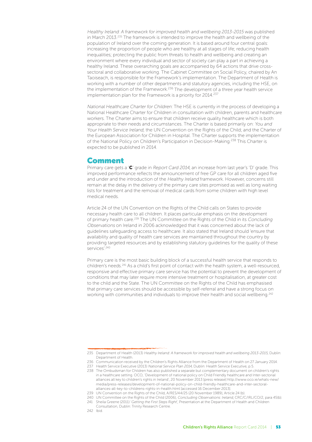Healthy Ireland: A framework for improved health and wellbeing 2013-2015 was published in March 2013.<sup>235</sup> The framework is intended to improve the health and wellbeing of the population of Ireland over the coming generation. It is based around four central goals: increasing the proportion of people who are healthy at all stages of life; reducing health inequalities; protecting the public from threats to health and wellbeing and creating an environment where every individual and sector of society can play a part in achieving a healthy Ireland. These overarching goals are accompanied by 64 actions that drive crosssectoral and collaborative working. The Cabinet Committee on Social Policy, chaired by An Taoiseach, is responsible for the Framework's implementation. The Department of Health is working with a number of other departments and statutory agencies, including the HSE, on the implementation of the Framework.236 The development of a three year health service implementation plan for the Framework is a priority for 2014.<sup>237</sup>

National Healthcare Charter for Children: The HSE is currently in the process of developing a National Healthcare Charter for Children in consultation with children, parents and healthcare workers. The Charter aims to ensure that children receive quality healthcare which is both appropriate to their needs and circumstances. The Charter is based primarily on: You and Your Health Service Ireland; the UN Convention on the Rights of the Child; and the Charter of the European Association for Children in Hospital. The Charter supports the implementation of the National Policy on Children's Participation in Decision-Making.238 This Charter is expected to be published in 2014.

#### Comment

Primary care gets a 'C' grade in Report Card 2014, an increase from last year's 'D' grade. This improved performance reflects the announcement of free GP care for all children aged five and under and the introduction of the Healthy Ireland framework. However, concerns still remain at the delay in the delivery of the primary care sites promised as well as long waiting lists for treatment and the removal of medical cards from some children with high level medical needs.

Article 24 of the UN Convention on the Rights of the Child calls on States to provide necessary health care to all children. It places particular emphasis on the development of primary health care.239 The UN Committee on the Rights of the Child in its Concluding Observations on Ireland in 2006 acknowledged that it was concerned about the lack of guidelines safeguarding access to healthcare. It also stated that Ireland should 'ensure that availability and quality of health care services are maintained throughout the country by providing targeted resources and by establishing statutory guidelines for the quality of these services'.<sup>240</sup>

Primary care is the most basic building block of a successful health service that responds to children's needs.241 As a child's first point of contact with the health system, a well-resourced, responsive and effective primary care service has the potential to prevent the development of conditions that may later require more intensive treatment or hospitalisation, at greater cost to the child and the State. The UN Committee on the Rights of the Child has emphasised that primary care services should be accessible by self-referral and have a strong focus on working with communities and individuals to improve their health and social wellbeing.242

<sup>235</sup> Department of Health (2013) Healthy Ireland: A framework for improved health and wellbeing 2013-2015, Dublin: Department of Health.

<sup>236</sup> Communication received by the Children's Rights Alliance from the Department of Health on 27 January 2014. 237 Health Service Executive (2013) National Service Plan 2014, Dublin: Health Service Executive, p.5.

<sup>238</sup> The Ombudsman for Children has also published a separate but complementary document on children's rights in a healthcare setting. OCO, 'Development of national policy on Child Friendly healthcare and Inter-sectorial alliances all key to children's rights in Ireland', 20 November 2013 [press release] http://www.oco.ie/whats-new/ media/press-releases/development-of-national-policy-on-child-friendly-healthcare-and-inter-sectoralalliances-all-key-to-childrens-rights-in-health.html [accessed 16 December 2013].

<sup>239</sup> UN Convention on the Rights of the Child, A/RES/44/25 (20 November 1989), Article 24 (b).

<sup>240</sup> UN Committee on the Rights of the Child (2006), Concluding Observations: Ireland, CRC/C/IRL/CO/2, para 45(b).

<sup>241</sup> Sheila Greene (2011) 'Getting the First Steps Right', Presentation at the Department of Health and Children

Consultation, Dublin: Trinity Research Centre.

<sup>242</sup> Ibid.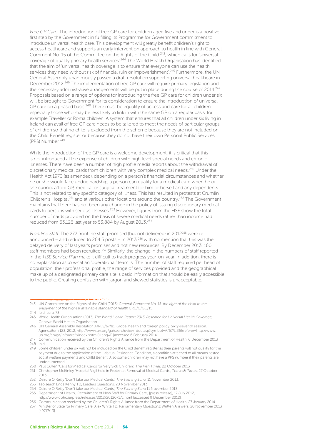Free GP Care: The introduction of free GP care for children aged five and under is a positive first step by the Government in fulfilling its Programme for Government commitment to introduce universal health care. This development will greatly benefit children's right to access healthcare and supports an early intervention approach to health in line with General Comment No. 15 of the Committee on the Rights of the Child.<sup>243</sup>, which calls for 'universal coverage of quality primary health services'.244 The World Health Organisation has identified that the aim of 'universal health coverage is to ensure that everyone can use the health services they need without risk of financial ruin or impoverishment<sup>'.245</sup> Furthermore, the UN General Assembly unanimously passed a draft resolution supporting universal healthcare in December 2012.<sup>246</sup> The implementation of free GP care will require primary legislation and the necessary administrative arrangements will be put in place during the course of 2014.<sup>247</sup> Proposals based on a range of options for introducing the free GP care for children under six will be brought to Government for its consideration to ensure the introduction of universal GP care on a phased basis.<sup>248</sup> There must be equality of access and care for all children especially those who may be less likely to link in with the same GP on a regular basis: for example Traveller or Roma children. A system that ensures that all children under six living in Ireland can avail of free GP care needs to be tailored to meet the needs of particular groups of children so that no child is excluded from the scheme because they are not included on the Child Benefit register or because they do not have their own Personal Public Services (PPS) Number.<sup>249</sup>

While the introduction of free GP care is a welcome development, it is critical that this is not introduced at the expense of children with high level special needs and chronic illnesses. There have been a number of high profile media reports about the withdrawal of discretionary medical cards from children with very complex medical needs.250 Under the Health Act 1970 (as amended), depending on a person's financial circumstances and whether he or she would face undue hardship, a person can qualify for a medical card when he or she cannot afford GP, medical or surgical treatment for him or herself and any dependents. This is not related to any specific category of illness. This has resulted in protests at Crumlin Children's Hospital<sup>251</sup> and at various other locations around the country.<sup>252</sup> The Government maintains that there has not been any change in the policy of issuing discretionary medical cards to persons with serious illnesses.253 However, figures from the HSE show the total number of cards provided on the basis of severe medical needs rather than income had reduced from 63,126 last year to 53,884 by August 2013.<sup>254</sup>

Frontline Staff: The 272 frontline staff promised (but not delivered) in 2012<sup>255</sup> were reannounced – and reduced to 264.5 posts – in 2013,<sup>256</sup> with no mention that this was the delayed delivery of last year's promises and not new resources. By December 2013, 160 staff members had been recruited.<sup>257</sup> Similarly, the change in the numbers of staff reported in the HSE Service Plan make it difficult to track progress year-on-year. In addition, there is no explanation as to what an 'operational' team is. The number of staff required per head of population, their professional profile, the range of services provided and the geographical make up of a designated primary care site is basic information that should be easily accessible to the public. Creating confusion with jargon and skewed statistics is unacceptable.

<sup>243</sup> UN Committee on the Rights of the Child (2013) General Comment No. 15: the right of the child to the enjoyment of the highest attainable standard of health CRC/C/GC/15.

<sup>244</sup> Ibid, para. 73.

<sup>245</sup> World Health Organisation (2013) The World Health Report 2013: Research for Universal Health Coverage, Geneva: World Health Organisation.

<sup>246</sup> UN General Assembly Resolution A/RES/67/81. Global health and foreign policy. Sixty-seventh session. Agendaitem 123, 2012, http://www.un.org/ga/search/view\_doc.asp?symbol=A/67/L.36&referer=http://www. un.org/en/ga/info/draft/index.shtml&Lang=E [accessed 6 February 2014].

<sup>247</sup> Communication received by the Children's Rights Alliance from the Department of Health, 6 December 2013 248 Ibid.

<sup>249</sup> Some children under six will not be included on the Child Benefit register as their parents will not qualify for the payment due to the application of the Habitual Residence Condition, a condition attached to all means-tested social welfare payments and Chlld Benefit. Also some children may not have a PPS number if their parents are undocumented.

<sup>250</sup> Paul Cullen 'Calls for Medical Cards for Very Sick Children', The Irish Times, 22 October 2013

<sup>251</sup> Christopher McKinley 'Hospital Vigil held in Protest at Removal of Medical Cards', The Irish Times, 27 October 2013.

<sup>252</sup> Deirdre O'Reilly 'Don't take our Medical Cards', The Evening Echo, 11 November 2013.

<sup>253</sup> Taoiseach Enda Kenny TD, Leaders Questions, 20 November 2013.

<sup>254</sup> Deirdre O'Reilly 'Don't take our Medical Cards', The Evening Echo 11 November 2013.

<sup>255</sup> Department of Health, 'Recruitment of New Staff for Primary Care', [press release], 17 July 2012, http://www.dohc.ie/press/releases/2012/20120717c.html [accessed 9 December 2012].

<sup>256</sup> Communication received by the Children's Rights Alliance from the Department of Health, 27 January 2014.

<sup>257</sup> Minister of State for Primary Care, Alex White TD, Parliamentary Questions: Written Answers, 20 November 2013 [49717/13].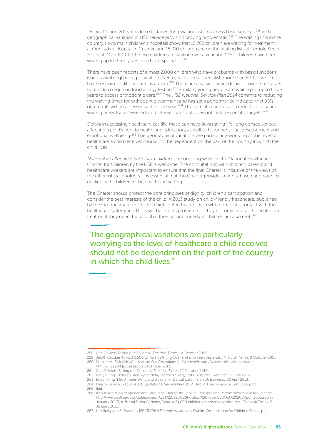Delays: During 2013, children still faced long waiting lists to access basic services,<sup>258</sup> with geographical variation in HSE service provision proving problematic.259 The waiting lists in the country's two main children's hospitals show that 15,762 children are waiting for treatment at Our Lady's Hospital in Crumlin and 15,310 children are on the waiting lists at Temple Street Hospital. Over 8,000 of these children are waiting over a year and 1,150 children have been waiting up to three years for a heart specialist.<sup>260</sup>

There have been reports of almost 2,000 children who have problems with basic functions (such as walking) having to wait for over a year to see a specialist, more than 500 of whom have serious conditions such as autism.<sup>261</sup> There are also significant delays of over three years for children requiring food allergy testing.262 Similarly young people are waiting for up to three years to access orthodontic care.263 The HSE National Service Plan 2014 commits to reducing the waiting times for orthodontic treatment and has set a performance indicator that 90% of referrals will be assessed within one year.264 The plan also prioritises a reduction in patient waiting times for assessment and interventions but does not include specific targets.<sup>265</sup>

Delays in accessing health services like these can have devastating life-long consequences, affecting a child's right to health and education, as well as his or her social development and emotional wellbeing.266 The geographical variations are particularly worrying as the level of healthcare a child receives should not be dependent on the part of the country in which the child lives.

National Healthcare Charter for Children: The ongoing work on the National Healthcare Charter for Children by the HSE is welcome. The consultations with children, parents and healthcare workers are important to ensure that the final Charter is inclusive of the views of the different stakeholders. It is essential that this Charter provides a rights-based approach to dealing with children in the healthcare setting.

The Charter should protect the core principles of dignity, children's participation and consider the best interests of the child. A 2013 study on child-friendly healthcare, published by the Ombudsman for Children highlighted that children who come into contact with the healthcare system need to have their rights protected so they not only receive the healthcare treatment they need, but also that their broader needs as children are also met.<sup>267</sup>

"The geographical variations are particularly worrying as the level of healthcare a child receives should not be dependent on the part of the country in which the child lives."

<sup>258</sup> Carl O'Brien 'Failing our Children', The Irish Times, 12 October 2013.

<sup>259</sup> Judith Crosbie 'Almost 2,500 Children Waiting Over a Year to See Specialists', The Irish Times, 8 October 2013. 260 N. Hunter, 'Sick Kids Wait Years to See Consultants', Irish Health, http://www.irishhealth.com/article.

html?id=22984 [accessed 16 December 2013].

<sup>261</sup> Carl O'Brien, 'Failing our Children', The Irish Times, 12 October 2013.

<sup>262</sup> Evelyn Ring 'Children Face 3 year delay for food allergy tests', The Irish Examiner, 17 June 2013.

<sup>263</sup> Evelyn Ring '1,500 Teens Wait up to 3 years for Dental Care', The Irish Examiner, 22 April 2013.

<sup>264</sup> Health Service Executive, (2013) National Service Plan 2014, Dublin: Health Service Executive, p.37. 265 Ibid.

<sup>266</sup> Irish Association of Speech and Language Therapists, Service Provision and Recommendations for Change, http://www.iaslt.ie/docs/public/exec/IASLT%20SSLI%20Position%20Paper%20Oct%202007.pdf [accessed 25 January 2013], p. 8; and Fiona Gartland, 'Almost 24,000 children on hospital waiting lists', The Irish Times, 3 January 2012.

<sup>267</sup> U. Kilkelly and E. Sweeney [2013] Child Friendly Healthcare, Dublin: Ombudsman for Children Office, p.14.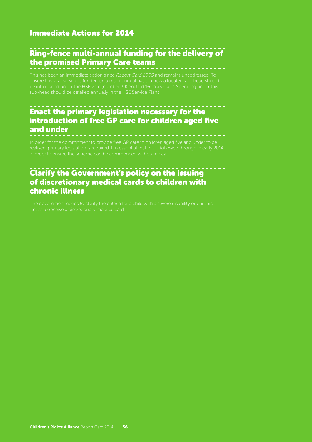#### Immediate Actions for 2014

### Ring-fence multi-annual funding for the delivery of the promised Primary Care teams

This has been an immediate action since Report Card 2009 and remains unaddressed. To

#### Enact the primary legislation necessary for the introduction of free GP care for children aged five and under

in order to ensure the scheme can be commenced without delay.

#### Clarify the Government's policy on the issuing of discretionary medical cards to children with chronic illness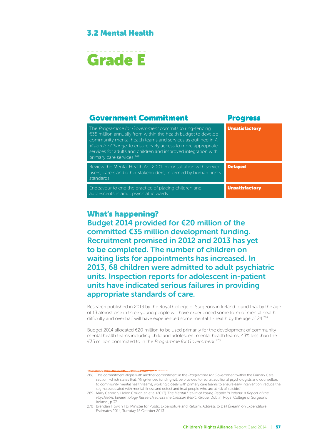#### 3.2 Mental Health



#### Government Commitment Progress The Programme for Government commits to ring-fencing €35 million annually from within the health budget to develop community mental health teams and services as outlined in A Vision for Change, to ensure early access to more appropriate services for adults and children and improved integration with primary care services.<sup>26</sup> Unsatisfactory Review the Mental Health Act 2001 in consultation with service users, carers and other stakeholders, informed by human rights standards. Delayed Endeavour to end the practice of placing children and adolescents in adult psychiatric wards. Unsatisfactory

#### What's happening?

Budget 2014 provided for €20 million of the committed €35 million development funding. Recruitment promised in 2012 and 2013 has yet to be completed. The number of children on waiting lists for appointments has increased. In 2013, 68 children were admitted to adult psychiatric units. Inspection reports for adolescent in-patient units have indicated serious failures in providing appropriate standards of care.

Research published in 2013 by the Royal College of Surgeons in Ireland found that by the age of 13 almost one in three young people will have experienced some form of mental health difficulty and over half will have experienced some mental ill-health by the age of 24.269

Budget 2014 allocated €20 million to be used primarily for the development of community mental health teams including child and adolescent mental health teams, 43% less than the €35 million committed to in the Programme for Government. 270

<sup>268</sup> This commitment aligns with another commitment in the Programme for Government within the Primary Care section, which states that: "Ring-fenced funding will be provided to recruit additional psychologists and counsellors to community mental health teams, working closely with primary care teams to ensure early intervention, reduce the stigma associated with mental illness and detect and treat people who are at risk of suicide."

<sup>269</sup> Mary Cannon, Helen Coughlan et al (2013) The Mental Health of Young People in Ireland: A Report of the Psychiatric Epidemiology Research across the Lifespan (PERL) Group, Dublin: Royal College of Surgeons Ireland , p.37.

<sup>270</sup> Brendan Howlin TD, Minister for Public Expenditure and Reform, Address to Dáil Éireann on Expenditure Estimates 2014, Tuesday 15 October 2013.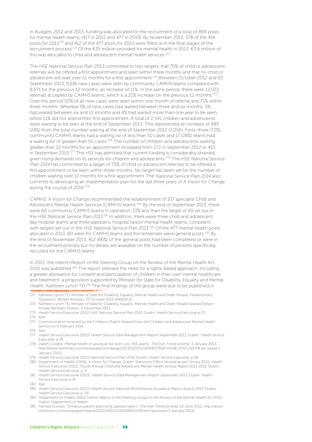In Budgets 2012 and 2013, funding was allocated for the recruitment of a total of 894 posts for mental health teams, (417 in 2012 and 477 in 2013). By November 2013, 378 of the 414 posts for 2012271 and 412 of the 477 posts for 2013 were filled or in the final stages of the recruitment process.272 Of the €35 million provided for mental health in 2013, €3.6 million of this was allocated to child and adolescent mental health services.<sup>273</sup>

The HSE National Service Plan 2013 committed to two targets: that 70% of child or adolescent referrals will be offered a first appointment and seen within three months and that no child or adolescent will wait over 12 months for a first appointment.<sup>274</sup> Between October 2012 and 30 September 2013, 9,616 new cases were seen by community CAMHS teams compared with 8,671 for the previous 12 months, an increase of 11%. In the same period, there were 12,022 referrals accepted by CAMHS teams, which is a 21% increase on the previous 12 months.275 Over this period 50% of all new cases were seen within one month of referral and 71% within three months. Whereas 9% of new cases had waited between three and six months, 5% had waited between six and 12 months and 4% had waited more than one year to be seen, whilst 11% did not attend their first appointment. A total of 2,541 children and adolescents were waiting to be seen at the end of September 2013. This represented an increase of 485 (24%) from the total number waiting at the end of September 2012 (2,056). Forty-three (72%) community CAMHS teams had a waiting list of less than 50 cases and 17 (28%) teams had a waiting list of greater than 50 cases.<sup>276</sup> The number of children and adolescents waiting greater than 12 months for an appointment increased from 272 in September 2012 to 413 in September 2013.<sup>277</sup> The HSE has admitted that current funding is considerably strained, given rising demands on its services for children and adolescents.<sup>278</sup> The HSE National Service Plan 2014 has committed to a target of 75% of child or adolescent referrals to be offered a first appointment or be seen within three months. No target has been set for the number of children waiting over 12 months for a first appointment. The National Service Plan 2014 also commits to developing an implementation plan for the last three years of A Vision for Change during the course of 2014.<sup>279</sup>

CAMHS: A Vision for Change recommended the establishment of 107 specialist Child and Adolescent Mental Health Services (CAMHS) teams.280 By the end of September 2013, there were 60 community CAMHS teams in operation, 13% less than the target of 69 set out in the HSE National Service Plan 2013.<sup>281</sup> In addition, there were three child and adolescent day hospital teams and three paediatric hospital liaison mental health teams, consistent with targets set out in the HSE National Service Plan 2013.<sup>282</sup> Of the 477 mental health posts allocated in 2013, 80 were for CAMHS teams and the remainder were general posts.283 By the end of November 2013, 412 (86%) of the general posts had been completed or were in the recruitment process but no details are available on the number of persons specifically recruited for the CAMHS teams.

In 2012, the Interim Report of the Steering Group on the Review of the Mental Health Act 2001 was published.284 The report stressed the need for a rights-based approach, including a greater allowance for consent and participation of children in their own mental healthcare and treatment, a proposition supported by Minister for State for Disability, Equality and Mental Health, Kathleen Lynch TD.285 The final findings of the group were due to be published in

- 272 Kathleen Lynch TD, Minister of State for Disability, Equality, Mental Health and Older People Seanad Éireann Private Members Motion, 3 December 2013.
- 273 Health Service Executive (2012) HSE National Service Plan 2013, Dublin: Health Service Executive p.23.
- 274 Ibid.
- 275 Communication received by the Children's Rights Alliance from the Children and Adolescent Mental Health Service on 6 February 2014.
- 276 Ibid.
- 277 Health Service Executive (2013) Health Service Data Management Report September 2013, Dublin: Health Service Executive, p.78.
- 278 Judith Crosbie, 'Mental health of young at risk over cuts, HSE warns', The Irish Times [online], 3 January 2013, http://www.irishtimes.com/newspaper/frontpage/2013/0103/1224328379516.html#.UOVCjYeEiP8 [accessed 3 January 2013].
- 279 Health Service Executive (2013) National Service Plan 2014, Dublin: Health Service Executive, p.48.
- 280 Department of Health (2006), A Vision for Change, Dublin: Stationery Office (revised as per Census 2011). Health Service Executive (2012), Fourth Annual Child and Adolescent Mental Health Service Report 2011-2012, Dublin: Health Service Executive, p. 9.
- 281 Health Service Executive (2013), Health Service Data Management Report September 2013, Dublin: Health Service Executive, p.76.
- 282 Ibid.
- 283 Health Service Executive (2013) Health Service National Performance Assurance Report August 2013, Dublin: Health Service Executive, p. 54.
- 284 Department of Health (2012) Interim Report of the Steering Group on the Review of the Mental Health Act 2001, Dublin: Department of Health.
- 285 Pamela Duncan, 'Enhance patient autonomy, advises report', The Irish Times [online], 22 June 2012, http://www. irishtimes.com/newspaper/ireland/2012/0622/1224318456479.html [accessed 2 January 2012].

<sup>271</sup> Kathleen Lynch TD, Minister of State for Disability, Equality, Mental Health and Older People, Parliamentary Questions: Written Answers, 22 October 2013 [44619/13].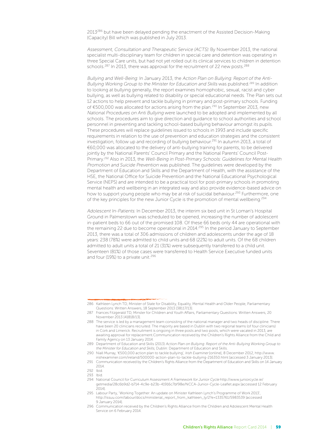2013<sup>286</sup> but have been delayed pending the enactment of the Assisted Decision-Making (Capacity) Bill which was published in July 2013.

Assessment, Consultation and Therapeutic Service (ACTS): By November 2013, the national specialist multi-disciplinary team for children in special care and detention was operating in three Special Care units, but had not yet rolled out its clinical services to children in detention schools.<sup>287</sup> In 2013, there was approval for the recruitment of 22 new posts.<sup>288</sup>

Bullying and Well-Being: In January 2013, the Action Plan on Bullying: Report of the Anti-Bullying Working Group to the Minister for Education and Skills was published.<sup>289</sup> In addition to looking at bullying generally, the report examines homophobic, sexual, racist and cyber bullying, as well as bullying related to disability or special educational needs. The Plan sets out 12 actions to help prevent and tackle bullying in primary and post-primary schools. Funding of €500,000 was allocated for actions arising from the plan.290 In September 2013, new National Procedures on Anti Bullying were launched to be adopted and implemented by all schools. The procedures aim to give direction and guidance to school authorities and school personnel in preventing and tackling school-based bullying behaviour amongst its pupils. These procedures will replace guidelines issued to schools in 1993 and include specific requirements in relation to the use of prevention and education strategies and the consistent investigation, follow up and recording of bullying behaviour.291 In autumn 2013, a total of €60,000 was allocated to the delivery of anti-bullying training for parents, to be delivered jointly by the National Parents' Council Primary and the National Parents' Council Post-Primary.<sup>292</sup> Also in 2013, the Well-Being in Post-Primary Schools: Guidelines for Mental Health Promotion and Suicide Prevention was published. The guidelines were developed by the Department of Education and Skills and the Department of Health, with the assistance of the HSE, the National Office for Suicide Prevention and the National Educational Psychological Service (NEPS) and are intended to be a practical tool for post-primary schools in promoting mental health and wellbeing in an integrated way and also provide evidence-based advice on how to support young people who may be at risk of suicidal behaviour.<sup>293</sup> Furthermore, one of the key principles for the new Junior Cycle is the promotion of mental wellbeing.294

Adolescent In-Patients: In December 2013, the interim six bed unit in St Loman's Hospital Ground in Palmerstown was scheduled to be opened, increasing the number of adolescent in-patient beds to 66 out of the promised 108. Of these 66 beds only 44 are operational with the remaining 22 due to become operational in 2014.<sup>295</sup> In the period January to September 2013, there was a total of 306 admissions of children and adolescents under the age of 18 years: 238 (78%) were admitted to child units and 68 (22%) to adult units. Of the 68 children admitted to adult units a total of 21 (31%) were subsequently transferred to a child unit. Seventeen (81%) of those cases were transferred to Health Service Executive funded units and four (19%) to a private unit.<sup>296</sup>

<sup>286</sup> Kathleen Lynch TD, Minister of State for Disability, Equality, Mental Health and Older People, Parliamentary Questions: Written Answers, 18 September 2013 [38117/13].

<sup>287</sup> Frances Fitzgerald TD, Minster for Children and Youth Affairs, Parliamentary Questions: Written Answers, 20 November 2013 [41818/13].

<sup>288</sup> The service is led by a management team consisting of the national manager and two heads of discipline. There have been 20 clinicians recruited. The majority are based in Dublin with two regional teams (of four clinicians) in Cork and Limerick. Recruitment is ongoing in three posts and two posts, which were vacated in 2013, are awaiting approval for replacement.Communication received by the Children's Rights Alliance from the Child and Family Agency on 13 January 2014.

<sup>289</sup> Department of Education and Skills (2013) Action Plan on Bullying: Report of the Anti-Bullying Working Group to the Minister for Education and Skills, Dublin: Department of Education and Skills.

<sup>290</sup> Niall Murray, '€500,000 action plan to tackle bullying', Irish Examiner [online], 8 December 2012, http://www. irishexaminer.com/ireland/500000-action-plan-to-tackle-bullying-216350.html [accessed 3 January 2013].

<sup>291</sup> Communication received by the Children's Rights Alliance from the Department of Education and Skills on 14 January 2014.

<sup>292</sup> Ibid.

<sup>293</sup> Ibid.

<sup>294</sup> National Council for Curriculum Assessment A Framework for Junior Cycle http://www.juniorcycle.ie/ getmedia/28c6b9d2-b714-4c9e-b23b-41916c7bf98e/NCCA-Junior-Cycle-Leaflet.aspx [accessed 12 February 2014].

<sup>295</sup> Labour Party, 'Working Together: An update on Minister Kathleen Lynch's Programme of Work 2013', http://issuu.com/labour/docs/ministerial\_report\_from\_kathleen\_ly/2?e=1335761/5983539 [accessed 9 January 2014].

<sup>296</sup> Communication received by the Children's Rights Alliance from the Children and Adolescent Mental Health Service on 6 February 2014.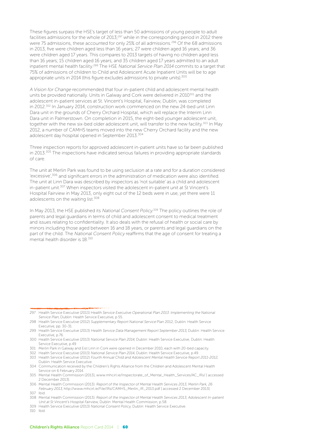These figures surpass the HSE's target of less than 50 admissions of young people to adult facilities admissions for the whole of 2013;297 while in the corresponding period in 2012 there were 75 admissions, these accounted for only 25% of all admissions.<sup>298</sup> Of the 68 admissions in 2013, five were children aged less than 16 years; 27 were children aged 16 years; and 36 were children aged 17 years. This compares to 2013 targets of having no children aged less than 16 years; 15 children aged 16 years; and 35 children aged 17 years admitted to an adult inpatient mental health facility.<sup>299</sup> The HSE National Service Plan 2014 commits to a target that 75% of admissions of children to Child and Adolescent Acute Inpatient Units will be to age appropriate units in 2014 (this figure excludes admissions to private units).<sup>300</sup>

A Vision for Change recommended that four in-patient child and adolescent mental health units be provided nationally. Units in Galway and Cork were delivered in 2010<sup>301</sup> and the adolescent in-patient services at St. Vincent's Hospital, Fairview, Dublin, was completed in 2012.302 In January 2014, construction work commenced on the new 24-bed unit Linn Dara unit in the grounds of Cherry Orchard Hospital, which will replace the Interim Linn Dara unit in Palmerstown. On completion in 2015, the eight-bed younger adolescent unit, together with the new six-bed older adolescent unit, will transfer to the new facility.<sup>303</sup> In May 2012, a number of CAMHS teams moved into the new Cherry Orchard facility and the new adolescent day hospital opened in September 2013.<sup>304</sup>

Three inspection reports for approved adolescent in-patient units have so far been published in 2013.<sup>305</sup> The inspections have indicated serious failures in providing appropriate standards of care.

The unit at Merlin Park was found to be using seclusion at a rate and for a duration considered 'excessive',<sup>306</sup> and significant errors in the administration of medication were also identified. The unit at Linn Dara was described by inspectors as 'not suitable' as a child and adolescent in-patient unit.<sup>307</sup> When inspectors visited the adolescent in-patient unit at St Vincent's Hospital Fairview in May 2013, only eight out of the 12 beds were in use, yet there were 11 adolescents on the waiting list.<sup>308</sup>

In May 2013, the HSE published its National Consent Policy.<sup>309</sup> The policy outlines the role of parents and legal guardians in terms of child and adolescent consent to medical treatment and issues relating to confidentiality. It also deals with the refusal of health or social care by minors including those aged between 16 and 18 years, or parents and legal guardians on the part of the child. The National Consent Policy reaffirms that the age of consent for treating a mental health disorder is 18.<sup>310</sup>

310 Ibid.

<sup>297</sup> Health Service Executive (2013) Health Service Executive Operational Plan 2013: Implementing the National Service Plan, Dublin: Health Service Executive, p.55.

<sup>298</sup> Health Service Executive (2012) Supplementary Report National Service Plan 2012, Dublin: Health Service Executive, pp. 30-31.

<sup>299</sup> Health Service Execuitve (2013) Health Service Data Management Report September 2013, Dublin: Health Service Executive, p.76.

<sup>300</sup> Health Service Executive (2013) National Service Plan 2014, Dublin: Health Service Executive, Dublin: Health Service Executive, p.49

<sup>301</sup> Merlin Park in Galway and Eist Linn in Cork were opened in December 2010, each with 20-bed capacity.

<sup>302</sup> Health Service Executive (2013) National Service Plan 2014, Dublin: Health Service Executive, p.49. 303 Health Service Executive (2012) Fourth Annual Child and Adolescent Mental Health Service Report 2011-2012, Dublin: Health Service Executive.

<sup>304</sup> Communication received by the Children's Rights Alliance from the Children and Adolescent Mental Health Service on 6 February 2014.

<sup>305</sup> Mental Health Commission (2013), www.mhcirl.ie/Inspectorate\_of\_Mental\_Health\_Services/AC\_IRs/ [ accessed 2 December 2013].

<sup>306</sup> Mental Health Commission (2013). Report of the Inspector of Mental Health Services 2013, Merlin Park, 26 February 2013, http://www.mhcirl.ie/File/IRs/CAMHS\_Merlin\_IR\_2013.pdf [ accessed 2 December 2013].

<sup>307</sup> Ibid.

<sup>308</sup> Mental Health Commission (2013). Report of the Inspector of Mental Health Services 2013, Adolescent In-patient Unit at St Vincent's Hospital Fairview, Dublin: Mental Health Commission, p.58.

<sup>309</sup> Health Service Executive (2013) National Consent Policy, Dublin: Health Service Executive.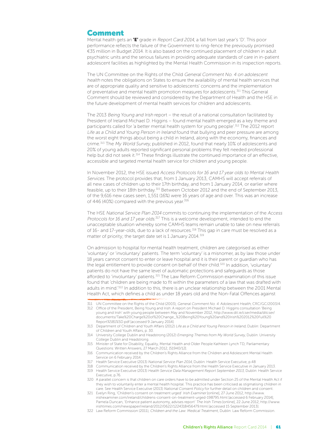#### Comment

Mental health gets an "E" grade in Report Card 2014, a fall from last year's 'D'. This poor performance reflects the failure of the Government to ring-fence the previously promised €35 million in Budget 2014. It is also based on the continued placement of children in adult psychiatric units and the serious failures in providing adequate standards of care in in-patient adolescent facilities as highlighted by the Mental Health Commission in its inspection reports.

The UN Committee on the Rights of the Child General Comment No. 4 on adolescent health notes the obligations on States to ensure the availability of mental health services that are of appropriate quality and sensitive to adolescents' concerns and the implementation of preventative and mental health promotion measures for adolescents.311 This General Comment should be reviewed and considered by the Department of Health and the HSE in the future development of mental health services for children and adolescents.

The 2013 Being Young and Irish report – the result of a national consultation facilitated by President of Ireland Michael D. Higgins – found mental health emerged as a key theme and participants called for 'a better mental health system for young people'.<sup>312</sup> The 2012 report Life as a Child and Young Person in Ireland found that bullying and peer pressure are among the worst eight things about being a child in Ireland, along with the economy, finances and crime.313 The My World Survey, published in 2012, found that nearly 10% of adolescents and 20% of young adults reported significant personal problems they felt needed professional help but did not seek it.<sup>314</sup> These findings illustrate the continued importance of an effective, accessible and targeted mental health service for children and young people.

In November 2012, the HSE issued Access Protocols for 16 and 17 year olds to Mental Health Services. The protocol provides that, from 1 January 2013, CAMHS will accept referrals of all new cases of children up to their 17th birthday, and from 1 January 2014, or earlier where feasible, up to their 18th birthday.315 Between October 2012 and the end of September 2013, of the 9,616 new cases seen, 1,551 (16%) were 16 years of age and over. This was an increase of 446 (40%) compared with the previous year.<sup>316</sup>

The HSE National Service Plan 2014 commits to continuing the implementation of the Access Protocols for 16 and 17 year olds.<sup>317</sup> This is a welcome development, intended to end the unacceptable situation whereby some CAMHS teams remain unable to take on new referrals of 16- and 17-year-olds, due to a lack of resources.<sup>318</sup> This gap in care must be resolved as a matter of priority; the target date set is 1 January 2014.<sup>319</sup>

On admission to hospital for mental health treatment, children are categorised as either 'voluntary' or 'involuntary' patients. The term 'voluntary' is a misnomer, as by law those under 18 years cannot consent to enter or leave hospital and it is their parent or guardian who has the legal entitlement to provide consent on behalf of their child.<sup>320</sup> In addition, 'voluntary' patients do not have the same level of automatic protections and safeguards as those afforded to 'involuntary' patients.<sup>321</sup> The Law Reform Commission examination of this issue found that 'children are being made to fit within the parameters of a law that was drafted with adults in mind.<sup>'322</sup> In addition to this, there is an unclear relationship between the 2001 Mental Health Act, which defines a child as under 18 years old and the Non-Fatal Offences against

- 311 UN Committee on the Rights of the Child (2003), General Comment No. 4: Adolescent Health, CRC/GC/2003/4.
- 312 Office of the President, Being Young and Irish: A report on President Michael D. Higgins consultation 'Being young and Irish' with young people between May and November 2012, http://www.dit.ie/cser/media/ditcser/ documents/Take%20Charge%20of%20Change\_%20Being%20Young%20and%20Irish%202012%20Full%20 Report%5B1%5D.pdf [accessed 9 January 2014].
- 313 Department of Children and Youth Affairs (2012) Life as a Child and Young Person in Ireland, Dublin: Department of Children and Youth Affairs, p. 30.
- 314 University College Dublin and Headstrong (2012) Emerging Themes from My World Survey, Dublin: University College Dublin and Headstrong.
- 315 Minister of State for Disability, Equality, Mental Health and Older People Kathleen Lynch TD, Parliamentary Questions: Written Answers, 27 March 2012, [51940/12].
- 316 Communication received by the Children's Rights Alliance from the Children and Adolescent Mental Health Service on 6 February 2014.
- 317 Health Service Executive (2013) National Service Plan 2014, Dublin: Health Service Executive, p.48
- 318 Communication received by the Children's Rights Alliance from the Health Service Executive in January 2013. 319 Health Service Executive (2013) Health Service Data Management Report September 2013, Dublin: Health Service
- Executive, p.76. 320 A parallel concern is that children on care orders have to be admitted under Section 25 of the Mental Health Act if
- they wish to voluntarily enter a mental health hospital. This practice has been criticised as stigmatising children in care. See Health Service Executive (2013) National Consent Policy for further detail on children and consent.
- 321 Evelyn Ring, 'Children's consent on treatment urged' Irish Examiner [online], 27 June 2012, http://www. irishexaminer.com/ireland/childrens-consent-on-treatment-urged-198795.html [accessed 6 February 2014]; Pamela Duncan, 'Enhance patient autonomy, advises report' The Irish Times [online], 22 June 2012, http://www. irishtimes.com/newspaper/ireland/2012/0622/1224318456479.html [accessed 15 September 2013].
- 322 Law Reform Commission (2011), Children and the Law: Medical Treatment, Dublin: Law Reform Commission.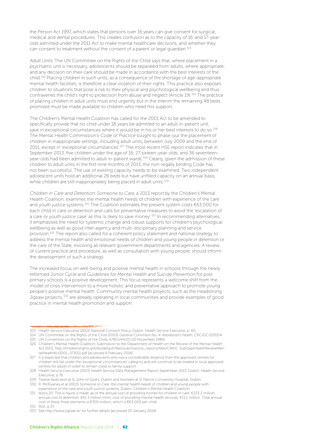the Person Act 1997, which states that persons over 16 years can give consent for surgical, medical and dental procedures. This creates confusion as to the capacity of 16-and 17-yearolds admitted under the 2011 Act to make mental healthcare decisions, and whether they can consent to treatment without the consent of a parent or legal guardian.<sup>323</sup>

Adult Units: The UN Committee on the Rights of the Child says that, where placement in a psychiatric unit is necessary, adolescents should be separated from adults, where appropriate; and any decision on their care should be made in accordance with the best interests of the child.<sup>324</sup> Placing children in such units, as a consequence of the shortage of age-appropriate mental health facilities, is therefore a clear violation of their rights. This practice also exposes children to situations that pose a risk to their physical and psychological wellbeing and thus contravenes the child's right to protection from abuse and neglect (Article 19).325 The practice of placing children in adult units must end urgently but in the interim the remaining 48 beds promised must be made available to children who need this support.

The Children's Mental Health Coalition has called for the 2001 Act to be amended to specifically provide that no child under 18 years be admitted to an adult in-patient unit, save in exceptional circumstances where it would be in his or her best interests to do so.<sup>326</sup> The Mental Health Commission's Code of Practice sought to phase-out the placement of children in inappropriate settings, including adult units, between July 2009 and the end of 2011, except in 'exceptional circumstances'.<sup>327</sup> The most recent HSE report indicates that in September 2013, five children under the age of 16; 27 sixteen-year-olds; and 36 seventeenyear-olds had been admitted to adult in-patient wards.<sup>328</sup> Clearly, given the admission of these children to adult units in the first nine months of 2013, the non-legally binding Code has not been successful. The use of existing capacity needs to be examined. Two independent adolescent units hold an additional 26 beds but have unfilled capacity on an annual basis, while children are still inappropriately being placed in adult units.<sup>329</sup>

Children in Care and Detention: Someone to Care, a 2013 report by the Children's Mental Health Coalition, examines the mental health needs of children with experience of the care and youth justice systems.<sup>330</sup> The Coalition estimates the present system costs  $\epsilon$ 63,000 for each child in care or detention and calls for preventative measures to avoid the 'escalation of a care or youth justice case' as this 'is likely to save money'.<sup>331</sup> In recommending alternatives, it emphasises the need for systemic change and robust supports for children's psychological wellbeing as well as good inter-agency and multi-disciplinary planning and service provision.332 The report also called for a coherent policy statement and national strategy to address the mental health and emotional needs of children and young people in detention or the care of the State, involving all relevant government departments and agencies. A review of current practice and procedure, as well as consultation with young people, should inform the development of such a strategy.

The increased focus on well-being and positive mental health in schools through the newly reformed Junior Cycle and Guidelines for Mental Health and Suicide Prevention for post primary schools is a positive development. This focus represents a welcome shift from the model of crisis intervention to a more holistic and preventative approach to promote young people's positive mental health. Community mental health projects, such as the Headstrong Jigsaw projects,333 are already operating in local communities and provide examples of good practice in mental health promotion and support.

<sup>323</sup> Health Service Executive (2013) National Consent Policy, Dublin: Health Service Executive, p. 60.

<sup>324</sup> UN Committee on the Rights of the Child (2003) General Comment No. 4: Adolescent Health, CRC/GC/2003/4.

<sup>325</sup> UN Convention on the Rights of the Child, A/RES/44/25 (20 November 1989).

<sup>326</sup> Children's Mental Health Coalition, Submission to the Department of Health on the Review of the Mental Health Act 2001, http://childrensrights.ie/sites/default/files/submissions\_reports/files/CMHC-SubDeptHealthReviewMen talHealthAct2001\_071011.pdf [accessed 6 February 2014]

<sup>327</sup> It is expected that children and adolescents who live a considerable distance from the approved centres for children will fall under the 'exceptional circumstances' category and will continue to be treated in local approved centres for adults in order to remain close to family support.

<sup>328</sup> Health Service Executive (2013) Health Service Data Management Report September 2013, Dublin: Health Service Executive, p.76.

<sup>329</sup> Twelve beds exist at St John of God's, Dublin and fourteen at St Patrick's University Hospital, Dublin.

<sup>330</sup> R. McElvaney et al (2013) Someone to Care: the mental health needs of children and young people with experience of the care and youth justice systems, Dublin: Children's Mental Health Coalition.

<sup>331</sup> Ibid p.20. This is figure is made up of the annual cost of providing homes for children in care: €233.2 million, annual cost of detention: €61.3 million (min), cost of providing mental health services: €11.1 million. Total annual cost of these three elements is €300 million, which is €63,000 per child.

<sup>332</sup> Ibid., p.21.

<sup>333</sup> See http://www.jigsaw.ie/ for further details [accessed 20 January 2014].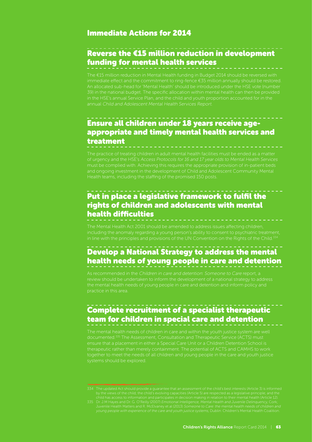#### Immediate Actions for 2014

#### Reverse the €15 million reduction in development funding for mental health services

The €15 million reduction in Mental Health funding in Budget 2014 should be reversed with An allocated sub-head for 'Mental Health' should be introduced under the HSE vote (number annual Child and Adolescent Mental Health Services Report.

#### Ensure all children under 18 years receive ageappropriate and timely mental health services and treatment

Health teams, including the staffing of the promised 150 posts.

#### Put in place a legislative framework to fulfil the rights of children and adolescents with mental health difficulties

in line with the principles and provisions of the UN Convention on the Rights of the Child.<sup>3</sup>

### Develop a National Strategy to address the mental health needs of young people in care and detention

As recommended in the Children in care and detention: Someone to Care report, a review should be undertaken to inform the development of a national strategy to address the mental health needs of young people in care and detention and inform policy and practice in this area.

### Complete recruitment of a specialist therapeutic team for children in special care and detention

The mental health needs of children in care and within the youth justice system are well documented.335 The Assessment, Consultation and Therapeutic Service (ACTS) must ensure that a placement in either a Special Care Unit or a Children Detention School is therapeutic rather than merely containment. The potential of ACTS and CAMHS to work together to meet the needs of all children and young people in the care and youth justice systems should be explored.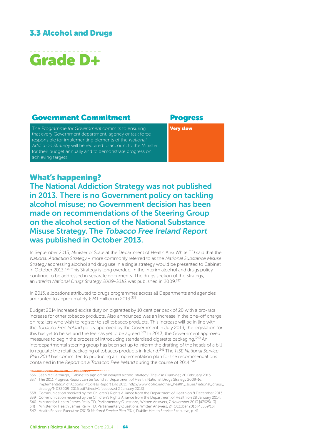#### 3.3 Alcohol and Drugs



#### Government Commitment Progress

The Programme for Government commits to ensuring that every Government department, agency or task force responsible for implementing elements of the National Addiction Strategy will be required to account to the Minister for their budget annually and to demonstrate progress on achieving targets.

Very slow

#### What's happening?

The National Addiction Strategy was not published in 2013. There is no Government policy on tackling alcohol misuse; no Government decision has been made on recommendations of the Steering Group on the alcohol section of the National Substance Misuse Strategy. The Tobacco Free Ireland Report was published in October 2013.

In September 2013, Minister of State at the Department of Health Alex White TD said that the National Addiction Strategy – more commonly referred to as the National Substance Misuse Strategy addressing alcohol and drug use in a single strategy would be presented to Cabinet in October 2013.336 This Strategy is long overdue. In the interim alcohol and drugs policy continue to be addressed in separate documents. The drugs section of the Strategy, an Interim National Drugs Strategy 2009-2016, was published in 2009.<sup>337</sup>

In 2013, allocations attributed to drugs programmes across all Departments and agencies amounted to approximately €241 million in 2013.<sup>338</sup>

Budget 2014 increased excise duty on cigarettes by 10 cent per pack of 20 with a pro-rata increase for other tobacco products. Also announced was an increase in the one-off charge on retailers who wish to register to sell tobacco products. This increase will be in line with the Tobacco Free Ireland policy approved by the Government in July 2013, the legislation for this has yet to be set and the fee has yet to be agreed.<sup>339</sup> In 2013, the Government approved measures to begin the process of introducing standardised cigarette packaging.340 An interdepartmental steering group has been set up to inform the drafting of the heads of a bill to regulate the retail packaging of tobacco products in Ireland.<sup>341</sup> The HSE National Service Plan 2014 has committed to producing an implementation plan for the recommendations contained in the Report on a Tobacco Free Ireland during the course of 2014.<sup>342</sup>

<sup>336</sup> Seán McCárthaigh, 'Cabinet to sign off on delayed alcohol strategy' The Irish Examiner, 20 February 2013.

<sup>337</sup> The 2011 Progress Report can be found at: Department of Health, National Drugs Strategy 2009-16: Implementation of Actions: Progress Report End 2011, http://www.dohc.ie/other\_health\_issues/national\_drugs\_

strategy/NDS2009-2016.pdf?direct=1 [accessed 2 January 2013].

<sup>338</sup> Communication received by the Children's Rights Alliance from the Department of Health on 8 December 2013.

<sup>339</sup> Communication received by the Children's Rights Alliance from the Department of Health on 28 January 2014.

<sup>340</sup> Minister for Health James Reilly TD, Parliamentary Questions, Written Answers, 7 November 2013 [47625/13].

<sup>341</sup> Minister for Health James Reilly TD, Parliamentary Questions, Written Answers, 24 October 2013 [45559/13].

<sup>342</sup> Health Service Executive (2013) National Service Plan 2014, Dublin: Health Service Executive, p. 41.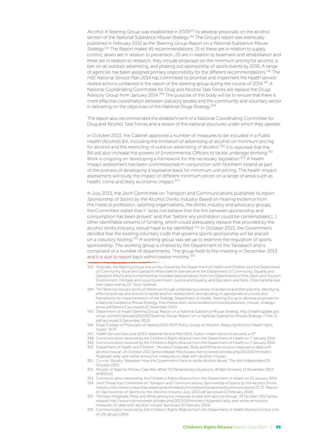Alcohol: A Steering Group was established in 2009<sup>343</sup> to develop proposals on the alcohol section of the National Substance Misuse Strategy.<sup>344</sup> The Group's report was eventually published in February 2012 as the Steering Group Report on a National Substance Misuse Strategy. 345 The Report makes 45 recommendations: 15 of these are in relation to supply control, seven are in relation to prevention, 20 are in relation to treatment and rehabilitation and three are in relation to research; they include proposals on the minimum pricing for alcohol; a ban on all outdoor advertising, and phasing out sponsorship of sports events by 2016. A range of agencies has been assigned primary responsibility for the different recommendations.<sup>346</sup> The HSE National Service Plan 2014 has committed to prioritise and implement the health service related actions contained in the report of the steering group during the course of 2014.<sup>347</sup> A National Coordinating Committee for Drug and Alcohol Task Forces will replace the Drugs Advisory Group from January 2014.<sup>348</sup> The purpose of this body will be to ensure that there is more effective coordination between statutory bodies and the community and voluntary sector in delivering on the objectives of the National Drugs Strategy.<sup>349</sup>

The report also recommended the establishment of a National Coordinating Committee for Drug and Alcohol Task Forces and a review of the national structures under which they operate.

In October 2013, the Cabinet approved a number of measures to be included in a Public Health (Alcohol) Bill, including the limitation of advertising of alcohol on minimum pricing for alcohol and the restricting of outdoor advertising of alcohol.<sup>350</sup> It is reported that the Bill will also increase the powers of Environmental Officers to tackle underage drinking.<sup>351</sup> Work is ongoing on developing a framework for the necessary legislation.<sup>352</sup> A health impact assessment has been commissioned in conjunction with Northern Ireland as part of the process of developing a legislative basis for minimum unit pricing. The health impact assessment will study the impact of different minimum prices on a range of areas such as health, crime and likely economic impact.<sup>353</sup>

In July 2013, the Joint Committee on Transport and Communications published its report Sponsorship of Sports by the Alcohol Drinks Industry. Based on hearing evidence from the medical profession, sporting organisations, the drinks industry and advocacy groups, the Committee stated that it 'does not believe that the link between sponsorship and consumption has been proved" and that "before any prohibition could be contemplated […] other identifiable streams of funding, which could adequately replace that provided by the alcohol drinks industry, would have to be identified.<sup>'354</sup> In October 2013, the Government decided that the existing voluntary code that governs sports sponsorship will be placed on a statutory footing.<sup>355</sup> A working group was set up to examine the regulation of sports sponsorship. The working group is chaired by the Department of the Taoiseach and is comprised of a number of departments. The group held its first meeting in December 2013 and it is due to report back within twelve months.<sup>356</sup>

- 343 Originally the Steering Group was jointly chaired by the Department of Health and Children and the Department of Community, Rural and Gaeltacht Affairs (which later became the Department of Community, Equality and Gaeltacht Affairs) and its membership included representatives from the Departments of Arts, Sport and Tourism, Environment, Heritage and Local Government, Justice and Equality, and Education and Skills. Chairmanship was then taken over by Dr. Tony Holohan.
- 344 The Steering Group's terms of reference include undertaking a review of evidence and best practice, identifying effective policies and actions to tackle alcohol-related harm; and deciding on appropriate structures and frameworks for implementation of the Strategy. Department of Health, Steering Group to develop proposals for a National Substance Misuse Strategy, http://www.dohc.ie/consultations/closed/substance\_misuse\_strategy/ terms.pdf?direct=1 [accessed 22 December 2011].
- 345 Department of Health Steering Group, Report on a National Substance Misuse Strategy, http://healthupdate.gov. ie/wp-content/uploads/2012/02/Steering-Group-Report-on-a-National-Substance-Misuse-Strategy-7-Feb-11. pdf [accessed 5 December 2012].
- 346 Royal College of Physicians of Ireland (2013) RCPI Policy Group on Alcohol: Reducing Alcohol Health Harm, Dublin: RCPI.
- 347 Health Service Executive (2013) National Service Plan 2014, Dublin: Health Service Executive, p.37
- 348 Communication received by the Children's Rights Alliance from the Department of Health on 7 January 2014.
- 349 Communication received by the Children's Rights Alliance from the Department of Health on 7 January 2014. 350 Department of Health and Children, 'Ministers Fitzgerald, Reilly and White announce measures to deal with
- alcohol misuse', 24 October 2013 [press release] http://www.merrionstreet.ie/index.php/2013/10/ministersfitzgerald-reilly-and-white-announce-measures-to-deal-with-alcohol-misuse/.
- 351 Cormac Murphy 'Revealed: How the Government Plans to tackle Alcohol Abuse' The Irish Independent 24 October 2013.
- 352 Minister of State for Primary Care Alex White TD Parliamentary Questions, Written Answers, 12 November 2013 [47870/13].
- 353 Communication received by the Children's Rights Alliance from the Department of Health on 15 January 2014.
- 354 Joint Oireachtas Committee on Transport and Communications, Sponsorship of Sports by the Alcohol Drinks Industry http://www.oireachtas.ie/parliament/media/committees/transportandcommunications/JCTC-Reporton-Sponsorship-of-Sports-by-the-Alcohol-Industry-July-2013.pdf [accessed 12 February 2014].
- 355 'Ministers Fitzgerald, Reilly and White announce measures to deal with alcohol misuse', 24 October 2013 [press release] http://www.merrionstreet.ie/index.php/2013/10/ministers-fitzgerald-reilly-and-white-announcemeasures-to-deal-with-alcohol-misuse/ [accessed 10 February 2014].
- 356 Communication received by the Children's Rights Alliance from the Department of Health Alcohol Control Unit, on 29 January 2014.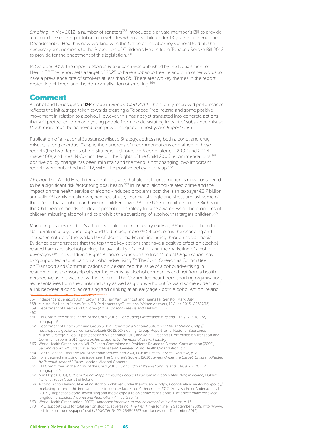Smoking: In May 2012, a number of senators<sup>357</sup> introduced a private member's Bill to provide a ban on the smoking of tobacco in vehicles when any child under 18 years is present. The Department of Health is now working with the Office of the Attorney General to draft the necessary amendments to the Protection of Children's Health from Tobacco Smoke Bill 2012 to provide for the enactment of this legislation.<sup>358</sup>

In October 2013, the report Tobacco Free Ireland was published by the Department of Health.<sup>359</sup> The report sets a target of 2025 to have a tobacco free Ireland or in other words to have a prevalence rate of smokers at less than 5%. There are two key themes in the report: protecting children and the de-normalisation of smoking.360

#### Comment

Alcohol and Drugs gets a **'D+'** grade in Report Card 2014. This slightly improved performance reflects the initial steps taken towards creating a Tobacco Free Ireland and some positive movement in relation to alcohol. However, this has not yet translated into concrete actions that will protect children and young people from the devastating impact of substance misuse. Much more must be achieved to improve the grade in next year's Report Card.

Publication of a National Substance Misuse Strategy, addressing both alcohol and drug misuse, is long overdue. Despite the hundreds of recommendations contained in these reports (the two Reports of the Strategic Taskforce on Alcohol alone – 2002 and 2004 – made 100), and the UN Committee on the Rights of the Child 2006 recommendations,<sup>361</sup> positive policy change has been minimal; and the trend is not changing: two important reports were published in 2012, with little positive policy follow up.<sup>362</sup>

Alcohol: The World Health Organization states that alcohol consumption is now considered to be a significant risk factor for global health.<sup>363</sup> In Ireland, alcohol-related crime and the impact on the health service of alcohol-induced problems cost the Irish taxpayer €3.7 billion annually.<sup>364</sup> Family breakdown, neglect, abuse, financial struggle and stress are just some of the effects that alcohol can have on children's lives.365 The UN Committee on the Rights of the Child recommends the development of a strategy to raise awareness of the problems of children misusing alcohol and to prohibit the advertising of alcohol that targets children.<sup>366</sup>

Marketing shapes children's attitudes to alcohol from a very early age<sup>367</sup>and leads them to start drinking at a younger age, and to drinking more.<sup>368</sup> Of concern is the changing and increased nature of the availability of alcohol marketing, including through social media. Evidence demonstrates that the top three key actions that have a positive effect on alcoholrelated harm are: alcohol pricing; the availability of alcohol; and the marketing of alcoholic beverages.369 The Children's Rights Alliance, alongside the Irish Medical Organisation, has long supported a total ban on alcohol advertising.<sup>370</sup> The Joint Oireachtas Committee on Transport and Communications only examined the issue of alcohol advertising in relation to the sponsorship of sporting events by alcohol companies and not from a health perspective as this was not within its remit. The Committee heard from sporting organisations, representatives from the drinks industry as well as groups who put forward some evidence of a link between alcohol advertising and drinking at an early age - both Alcohol Action Ireland

- 358 Minister for Health James Reilly TD, Parliamentary Questions, Written Answers, 19 June 2013. [29627/13].
- 359 Department of Health and Children (2013) Tobacco Free Ireland, Dublin: DOHC.
- 360 Ibid.
- 361 UN Committee on the Rights of the Child (2006) Concluding Observations: Ireland, CRC/C/IRL/CO/2, paragraph 51.
- 362 Department of Health Steering Group (2012), Report on a National Substance Misuse Strategy, http:// healthupdate.gov.ie/wp-content/uploads/2012/02/Steering-Group-Report-on-a-National-Substance-Misuse-Strategy-7-Feb-11.pdf [accessed 5 December 2012] and Joint Oireachtas Committee on Transport and Communications (2013) Sponsorship of Sports by the Alcohol Drinks Industry
- 363 World Health Organization, WHO Expert Committee on Problems Related to Alcohol Consumption (2007), Second report. WHO technical report series 944. Geneva: World Health Organization, p. 1.
- 364 Health Service Executive (2013) National Service Plan 2014, Dublin: Health Service Executive, p. 2.
- 365 For a detailed analysis of this issue, see: The Children's Society (2010), Swept Under the Carpet: Children Affected by Parental Alcohol Misuse, London: Alcohol Concern.
- 366 UN Committee on the Rights of the Child (2006), Concluding Observations: Ireland, CRC/C/IRL/CO/2, paragraph 49.
- 367 Ann Hope (2009), Get 'em Young: Mapping Young People's Exposure to Alcohol Marketing in Ireland, Dublin: National Youth Council of Ireland.
- 368 Alcohol Action Ireland, Marketing alcohol children under the influence, http://alcoholireland.ie/alcohol-policy/ marketing-alcohol-children-under-the-influence/ [accessed 4 December 2012]. See also Peter Anderson et al (2009), 'Impact of alcohol advertising and media exposure on adolescent alcohol use: a systematic review of longitudinal studies', Alcohol and Alcoholism, 44: pp. 229-43.
- 369 World Health Organisation (2009) Handbook for action to reduce alcohol-related harm, p. 13.
- 370 'IMO supports calls for total ban on alcohol advertising' The Irish Times [online], 9 September 2009, http://www. irishtimes.com/newspaper/health/2009/0915/1224254543757.html [accessed 1 December 2012].

<sup>357</sup> Independent Senators John Crown and Jillian Van Turnhout and Fianna Fáil Senator, Mark Daly.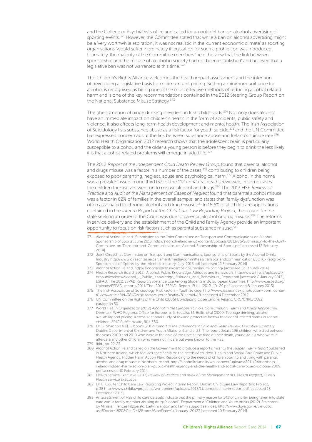and the College of Psychiatrists of Ireland called for an outright ban on alcohol advertising of sporting events.<sup>371</sup> However, the Committee stated that while a ban on alcohol advertising might be a 'very worthwhile aspiration', it was not realistic in the 'current economic climate' as sporting organisations 'would suffer inordinately if legislation for such a prohibition was introduced'. Ultimately, the majority of the Committee members 'held the view that the link between sponsorship and the misuse of alcohol in society had not been established' and believed that a legislative ban was not warranted at this time.<sup>372</sup>

The Children's Rights Alliance welcomes the health impact assessment and the intention of developing a legislative basis for minimum unit pricing. Setting a minimum unit price for alcohol is recognised as being one of the most effective methods of reducing alcohol related harm and is one of the key recommendations contained in the 2012 Steering Group Report on the National Substance Misuse Strategy.<sup>373</sup>

The phenomenon of binge drinking is evident in Irish childhoods.374 Not only does alcohol have an immediate impact on children's health in the form of accidents, public safety and violence, it also affects long-term health development and mental health. The Irish Association of Suicidology lists substance abuse as a risk factor for youth suicide,375 and the UN Committee has expressed concern about the link between substance abuse and Ireland's suicide rate.<sup>376</sup> World Health Organisation 2012 research shows that the adolescent brain is particularly susceptible to alcohol, and the older a young person is before they begin to drink the less likely it is that alcohol-related problems will emerge in adult life.<sup>377</sup>

The 2012 Report of the Independent Child Death Review Group, found that parental alcohol and drugs misuse was a factor in a number of the cases,  $378$  contributing to children being exposed to poor parenting, neglect, abuse and psychological harm.<sup>379</sup> Alcohol in the home was a prevalent issue in one third (37) of the 112 unnatural deaths reviewed, in some cases the children themselves went on to misuse alcohol and drugs.<sup>380</sup> The 2013 HSE Review of Practice and Audit of the Management of Cases of Neglect found that parental alcohol misuse was a factor in 62% of families in the overall sample; and states that 'family dysfunction was often associated to chronic alcohol and drug misuse'.381 In 18.6% of all child care applications contained in the Interim Report of the Child Care Law Reporting Project, the reason for the state seeking an order of the Court was due to parental alcohol or drug misuse.<sup>382</sup> The reforms in service delivery and the establishment of the Child and Family Agency provide an important opportunity to focus on risk factors such as parental substance misuse.383

- 371 Alcohol Action Ireland, 'Submission to the Joint Committee on Transport and Communications on Alcohol Sponsorship of Sports', June 2013, http://alcoholireland.ie/wp-content/uploads/2013/06/Submission-to-the-Joint-Committee-on-Transpotr-and-Communicatios-on-Alcohol-Sponsorship-of-Sports.pdf [accessed 12 February 2014].
- 372 Joint Oireachtas Committee on Transport and Communications, Sponsorship of Sports by the Alcohol Drinks Industry http://www.oireachtas.ie/parliament/media/committees/transportandcommunications/JCTC-Report-on-Sponsorship-of-Sports-by-the-Alcohol-Industry-July-2013.pdf [accessed 12 February 2014]
- 373 Alcohol Action Ireland, http://alcoholireland.ie/campaigns/minimum-pricing/ [accessed 17 January 2014].
- 374 Health Research Board (2012), Alcohol: Public Knowledge, Attitudes and Behaviours, http://www.hrb.ie/uploads/tx\_ hrbpublications/Alcohol\_-\_Public\_Knowledge\_Attitudes\_and\_Behaviours\_Report.pdf [accessed 8 January 2013]; ESPAD, The 2011 ESPAD Report: Substance Use Among Students in 36 European Countries, http://www.espad.org/ Uploads/ESPAD\_reports/2011/The\_2011\_ESPAD\_Report\_FULL\_2012\_10\_29.pdf [accessed 8 January 2013].
- 375 The Irish Association of Suicidology, Risk Factors Youth Suicide, http://www.ias.ie/index.php?option=com\_conten t&view=article&id=38%3Arisk-factors-youth&catid=7&Itemid=18 [accessed 4 December 2012].
- 376 UN Committee on the Rights of the Child (2006) Concluding Observations: Ireland, CRC/C/IRL/CO/2, paragraph 50.
- 377 World Health Organization (2012) Alcohol in the European Union, Consumption, Harm and Policy Approaches, Denmark: WHO Regional Office for Europe, p. 6. See also M. Bellis, et al (2009) Teenage drinking, alcohol availability and pricing: a cross-sectional study of risk and protective factors for alcohol-related harms in school children, BMC Public Health, 9(1), 380.
- 378 Dr. G. Shannon & N. Gibbons (2012) Report of the Independent Child and Death Review: Executive Summary. Dublin: Department of Children and Youth Affairs, p. 6 and p. 23. The report details 196 children who died between the years 2000 and 2010 who were in the care of the state at the time of their death, young adults who were in aftercare and other children who were not in care but were known to the HSE.
- 379 Ibid., pp. 22-23.
- 380 Alcohol Action Ireland called on the Government to produce a report similar to the Hidden Harm Report published in Northern Ireland, which focuses specifically on the needs of children. Health and Social Care Board and Public Health Agency, Hidden Harm Action Plan: Responding to the needs of children born to and living with parental alcohol and drug misuse in Northern Ireland, http://alcoholireland.ie/wp-content/uploads/2011/04/northernireland-hidden-harm-action-plan-public-health-agency-and-the-health-and-social-care-board-october-2009. pdf [accessed 10 February 2014].
- 381 Health Service Executive (2013) Review of Practice and Audit of the Management of Cases of Neglect, Dublin: Health Service Executive.
- 382 Dr C. Coulter Child Care Law Reporting Project Interim Report, Dublin: Child Care Law Reporting Project, p.38 http://www.childlawproject.ie/wp-content/uploads/2013/11/correctedinterimreport.pdf [accessed 18 December 2013].
- 383 An assessment of HSE child care datasets indicate that the primary reason for 14% of children being taken into state care was "a family member abusing drugs/alcohol". Department of Children and Youth Affairs (2012), Statement by Minister Frances Fitzgerald: Early invention and family support services, http://www.dcya.gov.ie/viewdoc. asp?Docid=1820&CatID=12&mn=&StartDate=1+January+20127 [accessed 10 February 2014].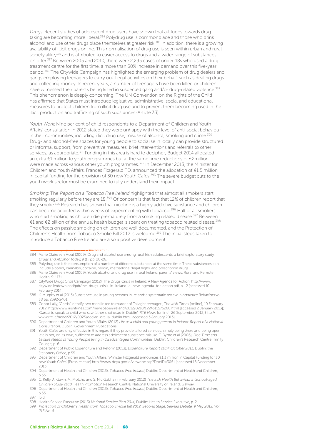Drugs: Recent studies of adolescent drug users have shown that attitudes towards drug taking are becoming more liberal.384 Polydrug use is commonplace and those who drink alcohol and use other drugs place themselves at greater risk.<sup>385</sup> In addition, there is a growing availability of illicit drugs online. This normalisation of drug use is seen within urban and rural society alike,<sup>386</sup> and is attributed to easier access to drugs and a wider range of substances on offer.387 Between 2005 and 2010, there were 2,295 cases of under-18s who used a drug treatment centre for the first time, a more than 50% increase in demand over this five-year period.388 The Citywide Campaign has highlighted the emerging problem of drug dealers and gangs employing teenagers to carry out illegal activities on their behalf, such as dealing drugs and collecting money. In recent years, a number of teenagers have been killed or children have witnessed their parents being killed in suspected gang and/or drug-related violence.<sup>389</sup> This phenomenon is deeply concerning. The UN Convention on the Rights of the Child has affirmed that States must introduce legislative, administrative, social and educational measures to protect children from illicit drug use and to prevent them becoming used in the illicit production and trafficking of such substances (Article 33).

Youth Work: Nine per cent of child respondents to a Department of Children and Youth Affairs' consultation in 2012 stated they were unhappy with the level of anti-social behaviour in their communities, including illicit drug use, misuse of alcohol, smoking and crime.<sup>390</sup> Drug- and alcohol-free spaces for young people to socialise in locally can provide structured or informal support, from preventive measures, brief interventions and referrals to other services, as appropriate.<sup>391</sup> Funding in this area is hard to decipher; Budget 2014 allocated an extra €1 million to youth programmes but at the same time reductions of €2million were made across various other youth programmes.<sup>392</sup> In December 2013, the Minister for Children and Youth Affairs, Frances Fitzgerald TD, announced the allocation of €1.5 million in capital funding for the provision of  $30$  new Youth Cafes.<sup>393</sup> The severe budget cuts to the youth work sector must be examined to fully understand their impact.

Smoking: The Report on a Tobacco Free Ireland highlighted that almost all smokers start smoking regularly before they are 18.<sup>394</sup> Of concern is that fact that 12% of children report that they smoke.<sup>395</sup> Research has shown that nicotine is a highly addictive substance and children can become addicted within weeks of experimenting with tobacco.396 Half of all smokers who start smoking as children die prematurely from a smoking related disease.<sup>397</sup> Between €1 and €2 billion of the annual health budget is spent on treating tobacco related disease.398 The effects on passive smoking on children are well documented, and the Protection of Children's Health from Tobacco Smoke Bill 2012 is welcome.<sup>399</sup> The initial steps taken to introduce a Tobacco Free Ireland are also a positive development.

<sup>384</sup> Marie Claire van Hout (2009), Drug and alcohol use among rural Irish adolescents: a brief exploratory study, Drugs and Alcohol Today, 9 (1). pp. 20-26.

<sup>385</sup> Polydrug use is the consumption of a number of different substances at the same time. These substances can include alcohol, cannabis, cocaine, heroin, methadone, 'legal highs' and prescription drugs.

<sup>386</sup> Marie Claire van Hout (2009), Youth alcohol and drug use in rural Ireland: parents' views, Rural and Remote Health, 9: 1171.

<sup>387</sup> CityWide Drugs Crisis Campaign (2012), The Drugs Crisis in Ireland: A New Agenda for Action, http://www. citywide.ie/download/pdf/the\_drugs\_crisis\_in\_ireland\_a\_new\_agenda\_for\_action.pdf, p. 12 [accessed 10 February 2014].

<sup>388</sup> K. Murphy et al (2013) Substance use in young persons in Ireland: a systematic review in Addictive Behaviors vol. 38 pp. 2392-2401.

<sup>389</sup> Conor Lally, 'Gardaí identify two men linked to murder of Tallaght teenager', The Irish Times [online], 10 February 2012, http://www.irishtimes.com/newspaper/ireland/2012/0210/1224311576260.html [accessed 2 January 2013]; 'Gardaí to speak to child who saw father shot dead in Dublin', RTE News [online], 26 September 2012, http:// www.rte.ie/news/2012/0925/declan-oreilly-dublin.html [accessed 3 January 2013].

<sup>390</sup> Department of Children and Youth Affairs' (2012) Life as a child and young person in Ireland: Report of a National Consultation, Dublin: Government Publications.

<sup>391</sup> Youth Cafés are only effective in this regard if they provide tailored services; simply being there and being open late is not, on its own, sufficient to address adolescent substance misuse. T. Byrne et al (2006), Free Time and Leisure Needs of Young People living in Disadvantaged Communities, Dublin: Children's Research Centre, Trinity College, p. 61.

<sup>392</sup> Department of Public Expenditure and Reform (2013), Expenditure Report 2014: October 2013, Dublin: the Stationery Office, p.55.

<sup>393</sup> Department of Children and Youth Affairs, 'Minister Fitzgerald announces €1.3 million in Capital Funding for 30 new Youth Cafés' [Press release] http://www.dcya.gov.ie/viewdoc.asp?DocID=3051 [accessed 16 December 2013].

<sup>394</sup> Department of Health and Children (2013), Tobacco Free Ireland, Dublin: Department of Health and Children, p.53.

<sup>395</sup> C. Kelly, A. Gavin, M. Molcho and S. Nic Gabhainn (February 2012) The Irish Health Behaviour in School-aged Children Study 2010 Health Promotion Research Centre, National University of Ireland, Galway.

<sup>396</sup> Department of Health and Children (2013), Tobacco Free Ireland, Dublin: Department of Health and Children, p.53.

<sup>397</sup> Ibid.

<sup>398</sup> Health Service Executive (2013) National Service Plan 2014, Dublin: Health Service Executive, p. 2.

<sup>399</sup> Protection of Children's Health from Tobacco Smoke Bill 2012, Second Stage, Seanad Debate, 9 May 2012, Vol. 215 No. 5.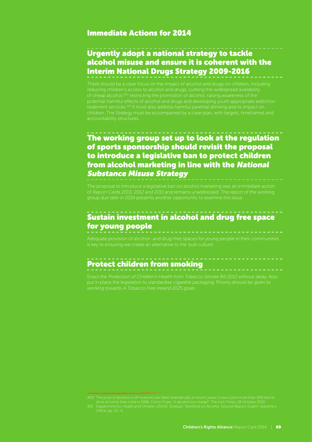#### Immediate Actions for 2014

#### Urgently adopt a national strategy to tackle alcohol misuse and ensure it is coherent with the Interim National Drugs Strategy 2009-2016

There should be a clear focus on the impact of alcohol and drugs on children, including reducing children's access to alcohol and drugs; curbing the widespread availability of cheap alcohol;400 restricting the promotion of alcohol; raising awareness of the children. The Strategy must be accompanied by a clear plan, with targets, timeframes and accountability structures.

#### The working group set up to look at the regulation of sports sponsorship should revisit the proposal to introduce a legislative ban to protect children from alcohol marketing in line with the National Substance Misuse Strategy

#### Sustain investment in alcohol and drug free space for young people

# Protect children from smoking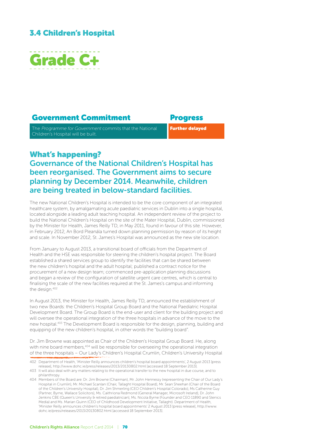#### 3.4 Children's Hospital



#### Government Commitment Progress

The Programme for Government commits that the National Children's Hospital will be built.

Further delayed

What's happening?

#### Governance of the National Children's Hospital has been reorganised. The Government aims to secure planning by December 2014. Meanwhile, children are being treated in below-standard facilities.

The new National Children's Hospital is intended to be the core component of an integrated healthcare system, by amalgamating acute paediatric services in Dublin into a single hospital, located alongside a leading adult teaching hospital. An independent review of the project to build the National Children's Hospital on the site of the Mater Hospital, Dublin, commissioned by the Minister for Health, James Reilly TD, in May 2011, found in favour of this site. However, in February 2012, An Bord Pleanála turned down planning permission by reason of its height and scale. In November 2012, St. James's Hospital was announced as the new site location.

From January to August 2013, a transitional board of officials from the Department of Health and the HSE was responsible for steering the children's hospital project. The Board established a shared services group to identify the facilities that can be shared between the new children's hospital and the adult hospital; published a contract notice for the procurement of a new design team; commenced pre-application planning discussions and began a review of the configuration of satellite urgent care centres, which is central to finalising the scale of the new facilities required at the St. James's campus and informing the design.<sup>402</sup>

In August 2013, the Minister for Health, James Reilly TD, announced the establishment of two new Boards: the Children's Hospital Group Board and the National Paediatric Hospital Development Board. The Group Board is the end-user and client for the building project and will oversee the operational integration of the three hospitals in advance of the move to the new hospital.403 The Development Board is responsible for the design, planning, building and equipping of the new children's hospital, in other words the "building board".

Dr. Jim Browne was appointed as Chair of the Children's Hospital Group Board. He, along with nine board members,<sup>404</sup> will be responsible for overseeing the operational integration of the three hospitals – Our Lady's Children's Hospital Crumlin, Children's University Hospital

<sup>402</sup> Department of Health, 'Minister Reilly announces children's hospital board appointments', 2 August 2013 [press release], http://www.dohc.ie/press/releases/2013/20130802.html [accessed 18 September 2013].

<sup>403</sup> It will also deal with any matters relating to the operational transfer to the new hospital in due course, and to philanthropy.

<sup>404</sup> Members of the Board are: Dr. Jim Browne (Chairman), Mr. John Hennessy (representing the Chair of Our Lady's Hospital in Crumlin), Mr. Michael Scanlan (Chair, Tallaght Hospital Board), Mr. Sean Sheehan (Chair of the Board of the Children's University Hospital), Dr. Jim Shmerling (CEO Children's Hospital Colorado), Ms Catherine Guy (Partner, Byrne, Wallace Solicitors), Ms. Caithriona Redmond (General Manager, Microsoft Ireland), Dr. John Jenkins CBE (Queen's University & retired paediatrician), Ms. Nicola Byrne (Founder and CEO 11890 and Stenics Media) and Ms. Marian Quinn (CEO of Childhood Development Initiative, Tallaght). Department of Health, 'Minister Reilly announces children's hospital board appointments' 2 August 2013 [press release], http://www. dohc.ie/press/releases/2013/20130802.html [accessed 18 September 2013].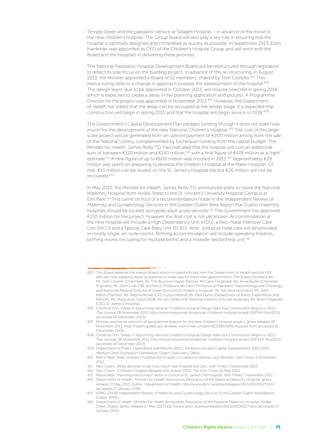Temple Street and the paediatric service at Tallaght Hospital – in advance of the move to the new children's hospital. The Group Board will also play a key role in ensuring that the hospital is optimally designed and completed as quickly as possible. In September 2013, Eilísh Hardiman was appointed as CEO of the Children's Hospital Group and will work with the Board and the hospitals in delivering these priorities.

The National Paediatric Hospital Development Board will be restructured through legislation to reflect its sole focus on the building project. In advance of this re-structuring, in August 2013, the Minister appointed a Board of 12 members, chaired by Tom Costello.<sup>405</sup> This restructuring reflects a change in approach towards the development of the hospital.<sup>406</sup> The design team, due to be appointed in October 2013, will now be selected in spring 2014, which is expected to create a delay in the planning application and process. A Programme Director for the project was appointed in November 2013.407 However, the Department of Health has stated that the delay can be recouped at the tender stage. It is expected that construction will begin in spring 2015 and that the hospital will begin service in 2018.408

The Government's Capital Development Plan pledges funding (though it does not state how much) for the development of the new National Children's Hospital.<sup>409</sup> The cost of this largescale project will be generated from an upfront payment of €200 million arising from the sale of the National Lottery, complemented by Exchequer funding from the capital budget. The Minister for Health, James Reilly TD, had indicated that the hospital will cost an additional sum of between €120 million and €140 million,<sup>410</sup> with a final figure of €478 million as a 'tight' estimate.<sup>411</sup> A new figure of up to €600 million was mooted in 2013.<sup>412</sup> Approximately €39 million was spent on preparing to develop the children's hospital at the Mater Hospital. Of that, €13 million can be reused on the St. James's Hospital site but €26 million will not be recovered.413

In May 2013, the Minister for Health, James Reilly TD, announced plans to move the National Maternity Hospital from Holles Street to the St. Vincent's University Hospital Campus at Elm Park.414 This came on foot of a recommendation made in the Independent Review of Maternity and Gynaecology Services in the Greater Dublin Area Report that Dublin maternity hospitals should be located alongside adult acute services.415 The Government has approved €150 million for the project; however the final cost is not yet known. Accommodation at the new hospital will include a High Dependency Unit (HDU), a Neo-Natal Intensive Care Unit (NICU) and a Special Care Baby Unit (SCBU). Ante- and post-natal care will be provided in mostly single, en-suite rooms. Birthing accommodation will include operating theatres, birthing rooms (including for multiple births) and a midwife-led birthing unit.<sup>416</sup>

<sup>405</sup> This Board replaces the interim Board, which included officials from the Department of Health and the HSE who are now stepping down as planned to make way for these new appointments. The Board members are: Mr. Tom Costello (Chairman), Mr. Tim Bouchier Hayes (Partner, McCann Fitzgerald), Ms. Anne Butler (Chartered Engineer), Mr. John Cole CBE (architect), Professor Ian Hann (Professor of Paediatric Haematology and Oncology and Associate Medical Director of Great Ormond St Children's Hospital), Mr. Karl Kent (architect), Mr. John Martin (Planner), Ms. Regina Moran (CEO Fujitsu Ireland), Mr. Paul Quinn (Department of Public Expenditure and Reform), Ms. Marguerite Sayers (ESB), Mr. Ian Carter (HSE National Director of Acute Hospitals), Mr. Brian Fitzgerald (CEO, St. James's Hospital).

<sup>406</sup> Christina Finn, 'Delay in Appointing national Children's Hospital Design team but Construction Begins in 2015', The Journal 28 November 2013, http://www.thejournal.ie/national-childrens-hospital-board-1197144-Nov2013/ [accessed 16 December 2013].

<sup>407</sup> Minister welcomes selection of programme director for the new children's hospital project, [press release] 28 November 2013, http://healthupdate.gov.ie/news-room/new-children%E2%80%99s-hospital.html [accessed 16 December 2013].

<sup>408</sup> Christina Finn, 'Delay in Appointing national Children's Hospital Design team but Construction Begins in 2015', The Journal, 28 November 2013, http://www.thejournal.ie/national-childrens-hospital-board-1197144-Nov2013/ [accessed 16 December 2013].

<sup>409</sup> Department of Public Expenditure and Reform (2011), Infrastructure and Capital Development 2012-2016: Medium Term Exchequer Framework, Dublin: Stationery Office.

<sup>410</sup> Martin Wall, 'New children's hospital not to open in Coalition's lifetime, says Minister', Irish Times, 6 November 2012.

<sup>411</sup> Paul Cullen, 'Reilly declines to say how much new hospital will cost', Irish Times, 7 November 2012.

<sup>412</sup> Paul Cullen, 'Children's hospital delayed until at least 2019' The Irish Times, 16 May 2013.

<sup>413</sup> Martin Wall, 'Planning risks a major factor in choice of St. James's for hospital' Irish Times, 7 November 2012. 414 Department of Health, 'Minister for Health Announces Relocation of the National Maternity Hospital' [press release] 27 May 2013, Dublin: Department of Health, http://www.dohc.ie/press/releases/2013/20130527.html [accessed 17 January 2014].

<sup>415</sup> KPMG (2008) Independent Review of Maternity and Gynaecology Services in the Greater Dublin Area Report, Dublin: KPMG.

<sup>416</sup> Department of Health, Minister for Health Announces Relocation of the National Maternity Hospital, Holles Street, Dublin, [press release] 27 May 2013 http://www.dohc.ie/press/releases/2013/20130527.html [accessed 17 January 2014].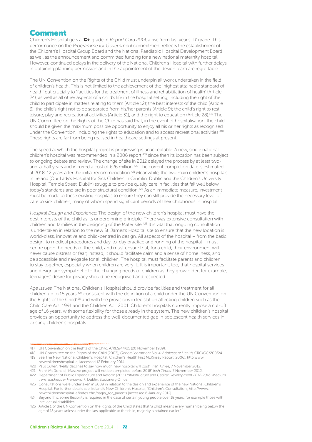#### Comment

Children's Hospital gets a 'C+' grade in Report Card 2014, a rise from last year's 'D' grade. This performance on the Programme for Government commitment reflects the establishment of the Children's Hospital Group Board and the National Paediatric Hospital Development Board as well as the announcement and committed funding for a new national maternity hospital. However, continued delays in the delivery of the National Children's Hospital with further delays in obtaining planning permission and in the appointment of the design team are regrettable.

The UN Convention on the Rights of the Child must underpin all work undertaken in the field of children's health. This is not limited to the achievement of the 'highest attainable standard of health' but crucially to 'facilities for the treatment of illness and rehabilitation of health' (Article 24), as well as all other aspects of a child's life in the hospital setting, including the right of the child to participate in matters relating to them (Article 12); the best interests of the child (Article 3); the child's right not to be separated from his/her parents (Article 9); the child's right to rest, leisure, play and recreational activities (Article 31); and the right to education (Article 28).417 The UN Committee on the Rights of the Child has said that, in the event of hospitalisation, the child should be given the maximum possible opportunity to enjoy all his or her rights as recognised under the Convention, including the rights to education and to access recreational activities.<sup>418</sup> These rights are far from being realised in healthcare settings at present.

The speed at which the hospital project is progressing is unacceptable. A new, single national children's hospital was recommended in a 2006 report;<sup>419</sup> since then its location has been subject to ongoing debate and review. The change of site in 2012 delayed the process by at least twoand-a-half years and incurred a cost of €26 million.420 The current completion date is estimated at 2018, 12 years after the initial recommendation.<sup>421</sup> Meanwhile, the two main children's hospitals in Ireland (Our Lady's Hospital for Sick Children in Crumlin, Dublin and the Children's University Hospital, Temple Street, Dublin) struggle to provide quality care in facilities that fall well below today's standards and are in poor structural condition.422 As an immediate measure, investment must be made to these existing hospitals to ensure they can still provide the necessary level of care to sick children, many of whom spend significant periods of their childhoods in hospital.

Hospital Design and Experience: The design of the new children's hospital must have the best interests of the child as its underpinning principle. There was extensive consultation with children and families in the designing of the Mater site.<sup>423</sup> It is vital that ongoing consultation is undertaken in relation to the new St. James's Hospital site to ensure that the new location is world-class, innovative and child-centred in design. All aspects of the hospital – from the basic design, to medical procedures and day-to-day practice and running of the hospital – must centre upon the needs of the child, and must ensure that, for a child, their environment will never cause distress or fear; instead, it should facilitate calm and a sense of homeliness, and be accessible and navigable for all children. The hospital must facilitate parents and children to stay together, especially when children are very ill. It is important, too, that hospital services and design are sympathetic to the changing needs of children as they grow older; for example, teenagers' desire for privacy should be recognised and respected.

Age Issues: The National Children's Hospital should provide facilities and treatment for all children up to 18 years,<sup>424</sup> consistent with the definition of a child under the UN Convention on the Rights of the Child<sup>425</sup> and with the provisions in legislation affecting children such as the Child Care Act, 1991 and the Children Act, 2001. Children's hospitals currently impose a cut-off age of 16 years, with some flexibility for those already in the system. The new children's hospital provides an opportunity to address the well-documented gap in adolescent health services in existing children's hospitals.

- 417 UN Convention on the Rights of the Child, A/RES/44/25 (20 November 1989).
- 418 UN Committee on the Rights of the Child (2003), General comment No. 4: Adolescent Health, CRC/GC/2003/4. 419 See The New National Children's Hospital, Children's Health First McKinsey Report (2006), http:www. newchildrenshospital.ie, [accessed 12 February 2014]
- 420 Paul Cullen, 'Reilly declines to say how much new hospital will cost', Irish Times, 7 November 2012.
- 421 Frank McDonald, 'Massive project will not be completed before 2018' Irish Times, 7 November 2012.

<sup>422</sup> Department of Public Expenditure and Reform (2011) Infrastructure and Capital Development 2012-2016: Medium Term Exchequer Framework, Dublin: Stationery Office.

<sup>423</sup> Consultations were undertaken in 2009 in relation to the design and experience of the new National Children's Hospital. For further details see: Ireland's New Children's Hospital, 'Children's Consultation', http://www. newchildrenshospital.ie/index.cfm/page/\_for\_parents [accessed 6 January 2012].

<sup>424</sup> Beyond this, some flexibility is required in the case of certain young people over 18 years, for example those with intellectual disabilities.

<sup>425</sup> Article 1 of the UN Convention on the Rights of the Child states that "a child means every human being below the age of 18 years unless under the law applicable to the child, majority is attained earlier'